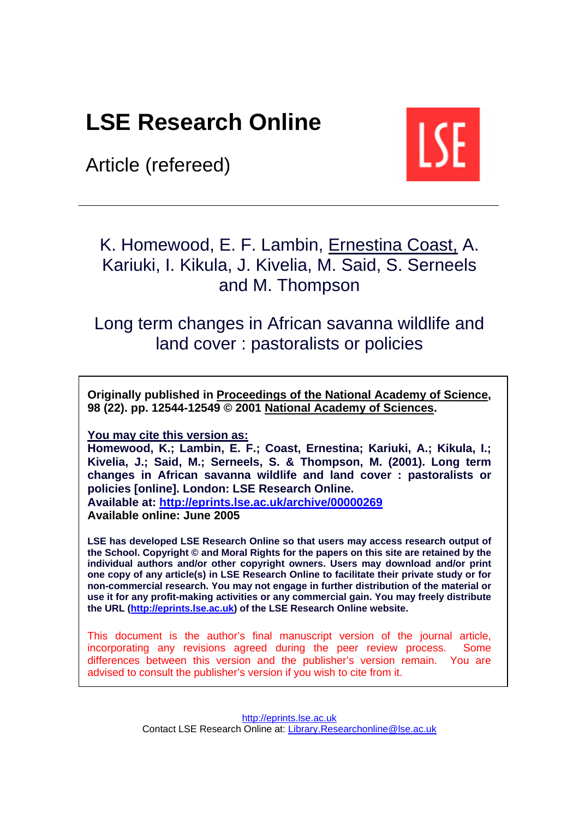# **LSE Research Online**





K. Homewood, E. F. Lambin, [Ernestina](http://www.lse.ac.uk/people/e.coast@lse.ac.uk/) Coast, A. Kariuki, I. Kikula, J. Kivelia, M. Said, S. Serneels and M. Thompson

# Long term changes in African savanna wildlife and land cover : pastoralists or policies

**Originally published in [Proceedings of the National Academy of Science,](http://www.pnas.org)  98 (22). pp. 12544-12549 © 2001 [National Academy of Sciences.](http://www.nasonline.org/)** 

## **You may cite this version as:**

**Homewood, K.; Lambin, E. F.; Coast, Ernestina; Kariuki, A.; Kikula, I.; Kivelia, J.; Said, M.; Serneels, S. & Thompson, M. (2001). Long term changes in African savanna wildlife and land cover : pastoralists or policies [online]. London: LSE Research Online. Available at: <http://eprints.lse.ac.uk/archive/00000269> Available online: June 2005**

**LSE has developed LSE Research Online so that users may access research output of the School. Copyright © and Moral Rights for the papers on this site are retained by the individual authors and/or other copyright owners. Users may download and/or print one copy of any article(s) in LSE Research Online to facilitate their private study or for non-commercial research. You may not engage in further distribution of the material or use it for any profit-making activities or any commercial gain. You may freely distribute the URL [\(http://eprints.lse.ac.uk\)](http://eprints.lse.ac.uk/) of the LSE Research Online website.** 

This document is the author's final manuscript version of the journal article, incorporating any revisions agreed during the peer review process. Some differences between this version and the publisher's version remain. You are advised to consult the publisher's version if you wish to cite from it.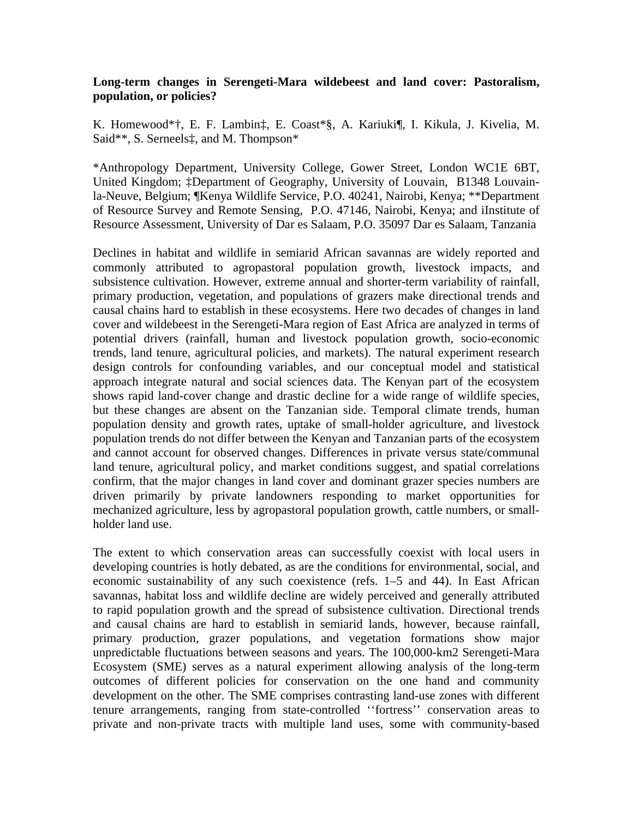### **Long-term changes in Serengeti-Mara wildebeest and land cover: Pastoralism, population, or policies?**

K. Homewood\*†, E. F. Lambin‡, E. Coast\*§, A. Kariuki¶, I. Kikula, J. Kivelia, M. Said\*\*, S. Serneels‡, and M. Thompson\*

\*Anthropology Department, University College, Gower Street, London WC1E 6BT, United Kingdom; ‡Department of Geography, University of Louvain, B1348 Louvainla-Neuve, Belgium; ¶Kenya Wildlife Service, P.O. 40241, Nairobi, Kenya; \*\*Department of Resource Survey and Remote Sensing, P.O. 47146, Nairobi, Kenya; and iInstitute of Resource Assessment, University of Dar es Salaam, P.O. 35097 Dar es Salaam, Tanzania

Declines in habitat and wildlife in semiarid African savannas are widely reported and commonly attributed to agropastoral population growth, livestock impacts, and subsistence cultivation. However, extreme annual and shorter-term variability of rainfall, primary production, vegetation, and populations of grazers make directional trends and causal chains hard to establish in these ecosystems. Here two decades of changes in land cover and wildebeest in the Serengeti-Mara region of East Africa are analyzed in terms of potential drivers (rainfall, human and livestock population growth, socio-economic trends, land tenure, agricultural policies, and markets). The natural experiment research design controls for confounding variables, and our conceptual model and statistical approach integrate natural and social sciences data. The Kenyan part of the ecosystem shows rapid land-cover change and drastic decline for a wide range of wildlife species, but these changes are absent on the Tanzanian side. Temporal climate trends, human population density and growth rates, uptake of small-holder agriculture, and livestock population trends do not differ between the Kenyan and Tanzanian parts of the ecosystem and cannot account for observed changes. Differences in private versus state/communal land tenure, agricultural policy, and market conditions suggest, and spatial correlations confirm, that the major changes in land cover and dominant grazer species numbers are driven primarily by private landowners responding to market opportunities for mechanized agriculture, less by agropastoral population growth, cattle numbers, or smallholder land use.

The extent to which conservation areas can successfully coexist with local users in developing countries is hotly debated, as are the conditions for environmental, social, and economic sustainability of any such coexistence (refs. 1–5 and 44). In East African savannas, habitat loss and wildlife decline are widely perceived and generally attributed to rapid population growth and the spread of subsistence cultivation. Directional trends and causal chains are hard to establish in semiarid lands, however, because rainfall, primary production, grazer populations, and vegetation formations show major unpredictable fluctuations between seasons and years. The 100,000-km2 Serengeti-Mara Ecosystem (SME) serves as a natural experiment allowing analysis of the long-term outcomes of different policies for conservation on the one hand and community development on the other. The SME comprises contrasting land-use zones with different tenure arrangements, ranging from state-controlled ''fortress'' conservation areas to private and non-private tracts with multiple land uses, some with community-based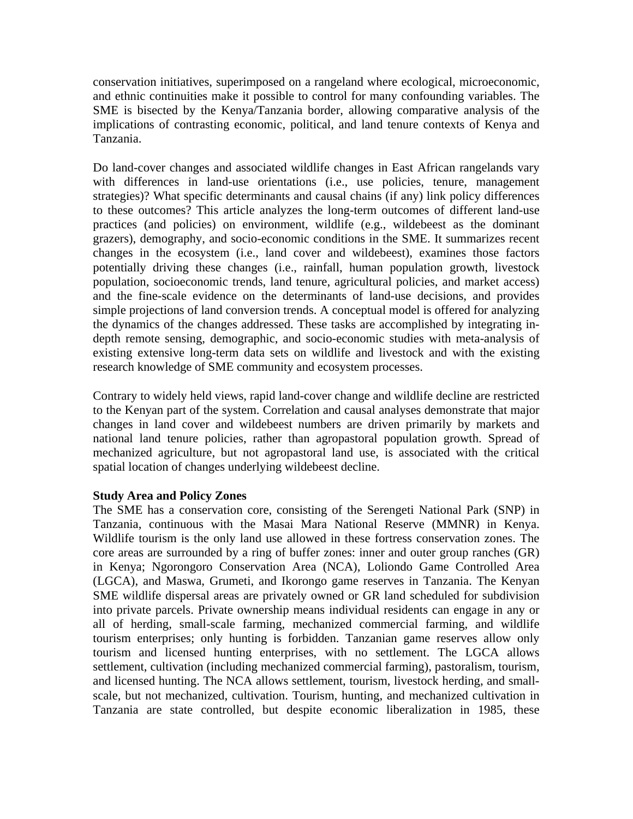conservation initiatives, superimposed on a rangeland where ecological, microeconomic, and ethnic continuities make it possible to control for many confounding variables. The SME is bisected by the Kenya/Tanzania border, allowing comparative analysis of the implications of contrasting economic, political, and land tenure contexts of Kenya and Tanzania.

Do land-cover changes and associated wildlife changes in East African rangelands vary with differences in land-use orientations (i.e., use policies, tenure, management strategies)? What specific determinants and causal chains (if any) link policy differences to these outcomes? This article analyzes the long-term outcomes of different land-use practices (and policies) on environment, wildlife (e.g., wildebeest as the dominant grazers), demography, and socio-economic conditions in the SME. It summarizes recent changes in the ecosystem (i.e., land cover and wildebeest), examines those factors potentially driving these changes (i.e., rainfall, human population growth, livestock population, socioeconomic trends, land tenure, agricultural policies, and market access) and the fine-scale evidence on the determinants of land-use decisions, and provides simple projections of land conversion trends. A conceptual model is offered for analyzing the dynamics of the changes addressed. These tasks are accomplished by integrating indepth remote sensing, demographic, and socio-economic studies with meta-analysis of existing extensive long-term data sets on wildlife and livestock and with the existing research knowledge of SME community and ecosystem processes.

Contrary to widely held views, rapid land-cover change and wildlife decline are restricted to the Kenyan part of the system. Correlation and causal analyses demonstrate that major changes in land cover and wildebeest numbers are driven primarily by markets and national land tenure policies, rather than agropastoral population growth. Spread of mechanized agriculture, but not agropastoral land use, is associated with the critical spatial location of changes underlying wildebeest decline.

#### **Study Area and Policy Zones**

The SME has a conservation core, consisting of the Serengeti National Park (SNP) in Tanzania, continuous with the Masai Mara National Reserve (MMNR) in Kenya. Wildlife tourism is the only land use allowed in these fortress conservation zones. The core areas are surrounded by a ring of buffer zones: inner and outer group ranches (GR) in Kenya; Ngorongoro Conservation Area (NCA), Loliondo Game Controlled Area (LGCA), and Maswa, Grumeti, and Ikorongo game reserves in Tanzania. The Kenyan SME wildlife dispersal areas are privately owned or GR land scheduled for subdivision into private parcels. Private ownership means individual residents can engage in any or all of herding, small-scale farming, mechanized commercial farming, and wildlife tourism enterprises; only hunting is forbidden. Tanzanian game reserves allow only tourism and licensed hunting enterprises, with no settlement. The LGCA allows settlement, cultivation (including mechanized commercial farming), pastoralism, tourism, and licensed hunting. The NCA allows settlement, tourism, livestock herding, and smallscale, but not mechanized, cultivation. Tourism, hunting, and mechanized cultivation in Tanzania are state controlled, but despite economic liberalization in 1985, these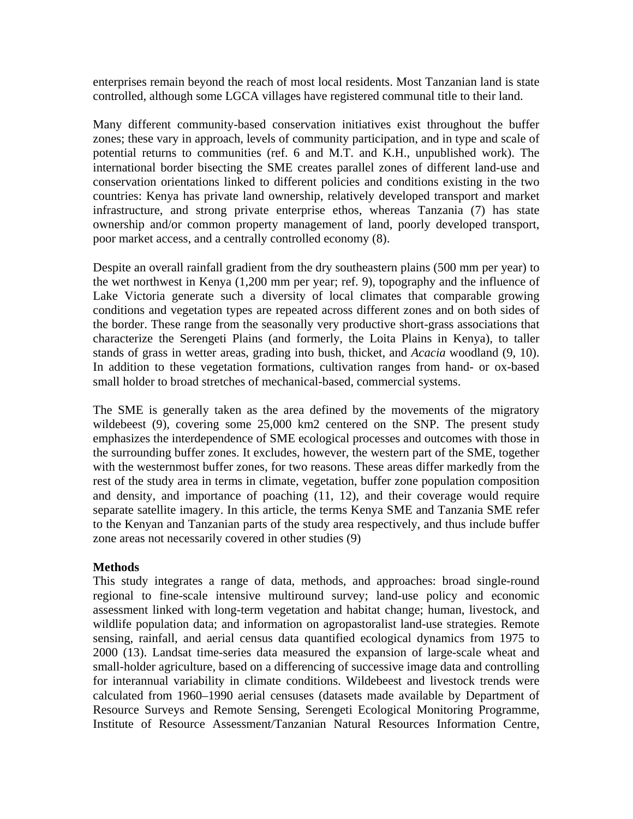enterprises remain beyond the reach of most local residents. Most Tanzanian land is state controlled, although some LGCA villages have registered communal title to their land.

Many different community-based conservation initiatives exist throughout the buffer zones; these vary in approach, levels of community participation, and in type and scale of potential returns to communities (ref. 6 and M.T. and K.H., unpublished work). The international border bisecting the SME creates parallel zones of different land-use and conservation orientations linked to different policies and conditions existing in the two countries: Kenya has private land ownership, relatively developed transport and market infrastructure, and strong private enterprise ethos, whereas Tanzania (7) has state ownership and/or common property management of land, poorly developed transport, poor market access, and a centrally controlled economy (8).

Despite an overall rainfall gradient from the dry southeastern plains (500 mm per year) to the wet northwest in Kenya (1,200 mm per year; ref. 9), topography and the influence of Lake Victoria generate such a diversity of local climates that comparable growing conditions and vegetation types are repeated across different zones and on both sides of the border. These range from the seasonally very productive short-grass associations that characterize the Serengeti Plains (and formerly, the Loita Plains in Kenya), to taller stands of grass in wetter areas, grading into bush, thicket, and *Acacia* woodland (9, 10). In addition to these vegetation formations, cultivation ranges from hand- or ox-based small holder to broad stretches of mechanical-based, commercial systems.

The SME is generally taken as the area defined by the movements of the migratory wildebeest (9), covering some 25,000 km2 centered on the SNP. The present study emphasizes the interdependence of SME ecological processes and outcomes with those in the surrounding buffer zones. It excludes, however, the western part of the SME, together with the westernmost buffer zones, for two reasons. These areas differ markedly from the rest of the study area in terms in climate, vegetation, buffer zone population composition and density, and importance of poaching (11, 12), and their coverage would require separate satellite imagery. In this article, the terms Kenya SME and Tanzania SME refer to the Kenyan and Tanzanian parts of the study area respectively, and thus include buffer zone areas not necessarily covered in other studies (9)

#### **Methods**

This study integrates a range of data, methods, and approaches: broad single-round regional to fine-scale intensive multiround survey; land-use policy and economic assessment linked with long-term vegetation and habitat change; human, livestock, and wildlife population data; and information on agropastoralist land-use strategies. Remote sensing, rainfall, and aerial census data quantified ecological dynamics from 1975 to 2000 (13). Landsat time-series data measured the expansion of large-scale wheat and small-holder agriculture, based on a differencing of successive image data and controlling for interannual variability in climate conditions. Wildebeest and livestock trends were calculated from 1960–1990 aerial censuses (datasets made available by Department of Resource Surveys and Remote Sensing, Serengeti Ecological Monitoring Programme, Institute of Resource Assessment/Tanzanian Natural Resources Information Centre,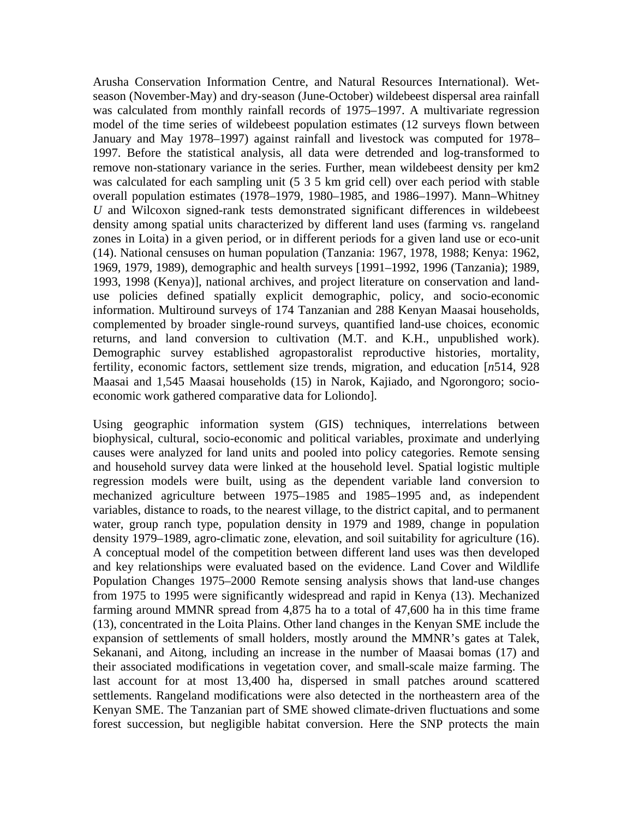Arusha Conservation Information Centre, and Natural Resources International). Wetseason (November-May) and dry-season (June-October) wildebeest dispersal area rainfall was calculated from monthly rainfall records of 1975–1997. A multivariate regression model of the time series of wildebeest population estimates (12 surveys flown between January and May 1978–1997) against rainfall and livestock was computed for 1978– 1997. Before the statistical analysis, all data were detrended and log-transformed to remove non-stationary variance in the series. Further, mean wildebeest density per km2 was calculated for each sampling unit (5 3 5 km grid cell) over each period with stable overall population estimates (1978–1979, 1980–1985, and 1986–1997). Mann–Whitney *U* and Wilcoxon signed-rank tests demonstrated significant differences in wildebeest density among spatial units characterized by different land uses (farming vs. rangeland zones in Loita) in a given period, or in different periods for a given land use or eco-unit (14). National censuses on human population (Tanzania: 1967, 1978, 1988; Kenya: 1962, 1969, 1979, 1989), demographic and health surveys [1991–1992, 1996 (Tanzania); 1989, 1993, 1998 (Kenya)], national archives, and project literature on conservation and landuse policies defined spatially explicit demographic, policy, and socio-economic information. Multiround surveys of 174 Tanzanian and 288 Kenyan Maasai households, complemented by broader single-round surveys, quantified land-use choices, economic returns, and land conversion to cultivation (M.T. and K.H., unpublished work). Demographic survey established agropastoralist reproductive histories, mortality, fertility, economic factors, settlement size trends, migration, and education [*n*514, 928 Maasai and 1,545 Maasai households (15) in Narok, Kajiado, and Ngorongoro; socioeconomic work gathered comparative data for Loliondo].

Using geographic information system (GIS) techniques, interrelations between biophysical, cultural, socio-economic and political variables, proximate and underlying causes were analyzed for land units and pooled into policy categories. Remote sensing and household survey data were linked at the household level. Spatial logistic multiple regression models were built, using as the dependent variable land conversion to mechanized agriculture between 1975–1985 and 1985–1995 and, as independent variables, distance to roads, to the nearest village, to the district capital, and to permanent water, group ranch type, population density in 1979 and 1989, change in population density 1979–1989, agro-climatic zone, elevation, and soil suitability for agriculture (16). A conceptual model of the competition between different land uses was then developed and key relationships were evaluated based on the evidence. Land Cover and Wildlife Population Changes 1975–2000 Remote sensing analysis shows that land-use changes from 1975 to 1995 were significantly widespread and rapid in Kenya (13). Mechanized farming around MMNR spread from 4,875 ha to a total of 47,600 ha in this time frame (13), concentrated in the Loita Plains. Other land changes in the Kenyan SME include the expansion of settlements of small holders, mostly around the MMNR's gates at Talek, Sekanani, and Aitong, including an increase in the number of Maasai bomas (17) and their associated modifications in vegetation cover, and small-scale maize farming. The last account for at most 13,400 ha, dispersed in small patches around scattered settlements. Rangeland modifications were also detected in the northeastern area of the Kenyan SME. The Tanzanian part of SME showed climate-driven fluctuations and some forest succession, but negligible habitat conversion. Here the SNP protects the main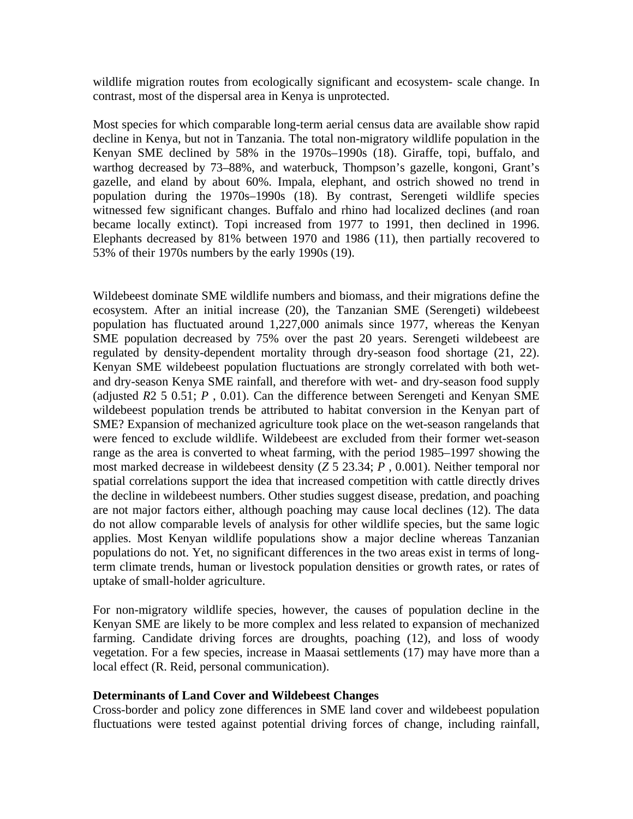wildlife migration routes from ecologically significant and ecosystem- scale change. In contrast, most of the dispersal area in Kenya is unprotected.

Most species for which comparable long-term aerial census data are available show rapid decline in Kenya, but not in Tanzania. The total non-migratory wildlife population in the Kenyan SME declined by 58% in the 1970s–1990s (18). Giraffe, topi, buffalo, and warthog decreased by 73–88%, and waterbuck, Thompson's gazelle, kongoni, Grant's gazelle, and eland by about 60%. Impala, elephant, and ostrich showed no trend in population during the 1970s–1990s (18). By contrast, Serengeti wildlife species witnessed few significant changes. Buffalo and rhino had localized declines (and roan became locally extinct). Topi increased from 1977 to 1991, then declined in 1996. Elephants decreased by 81% between 1970 and 1986 (11), then partially recovered to 53% of their 1970s numbers by the early 1990s (19).

Wildebeest dominate SME wildlife numbers and biomass, and their migrations define the ecosystem. After an initial increase (20), the Tanzanian SME (Serengeti) wildebeest population has fluctuated around 1,227,000 animals since 1977, whereas the Kenyan SME population decreased by 75% over the past 20 years. Serengeti wildebeest are regulated by density-dependent mortality through dry-season food shortage (21, 22). Kenyan SME wildebeest population fluctuations are strongly correlated with both wetand dry-season Kenya SME rainfall, and therefore with wet- and dry-season food supply (adjusted *R*2 5 0.51; *P* , 0.01). Can the difference between Serengeti and Kenyan SME wildebeest population trends be attributed to habitat conversion in the Kenyan part of SME? Expansion of mechanized agriculture took place on the wet-season rangelands that were fenced to exclude wildlife. Wildebeest are excluded from their former wet-season range as the area is converted to wheat farming, with the period 1985–1997 showing the most marked decrease in wildebeest density (*Z* 5 23.34; *P* , 0.001). Neither temporal nor spatial correlations support the idea that increased competition with cattle directly drives the decline in wildebeest numbers. Other studies suggest disease, predation, and poaching are not major factors either, although poaching may cause local declines (12). The data do not allow comparable levels of analysis for other wildlife species, but the same logic applies. Most Kenyan wildlife populations show a major decline whereas Tanzanian populations do not. Yet, no significant differences in the two areas exist in terms of longterm climate trends, human or livestock population densities or growth rates, or rates of uptake of small-holder agriculture.

For non-migratory wildlife species, however, the causes of population decline in the Kenyan SME are likely to be more complex and less related to expansion of mechanized farming. Candidate driving forces are droughts, poaching (12), and loss of woody vegetation. For a few species, increase in Maasai settlements (17) may have more than a local effect (R. Reid, personal communication).

#### **Determinants of Land Cover and Wildebeest Changes**

Cross-border and policy zone differences in SME land cover and wildebeest population fluctuations were tested against potential driving forces of change, including rainfall,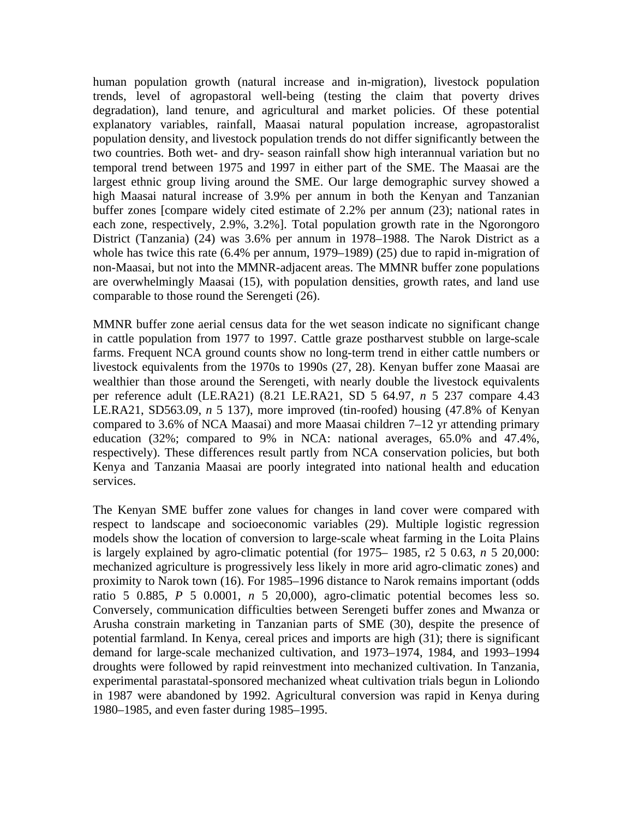human population growth (natural increase and in-migration), livestock population trends, level of agropastoral well-being (testing the claim that poverty drives degradation), land tenure, and agricultural and market policies. Of these potential explanatory variables, rainfall, Maasai natural population increase, agropastoralist population density, and livestock population trends do not differ significantly between the two countries. Both wet- and dry- season rainfall show high interannual variation but no temporal trend between 1975 and 1997 in either part of the SME. The Maasai are the largest ethnic group living around the SME. Our large demographic survey showed a high Maasai natural increase of 3.9% per annum in both the Kenyan and Tanzanian buffer zones [compare widely cited estimate of 2.2% per annum (23); national rates in each zone, respectively, 2.9%, 3.2%]. Total population growth rate in the Ngorongoro District (Tanzania) (24) was 3.6% per annum in 1978–1988. The Narok District as a whole has twice this rate (6.4% per annum, 1979–1989) (25) due to rapid in-migration of non-Maasai, but not into the MMNR-adjacent areas. The MMNR buffer zone populations are overwhelmingly Maasai (15), with population densities, growth rates, and land use comparable to those round the Serengeti (26).

MMNR buffer zone aerial census data for the wet season indicate no significant change in cattle population from 1977 to 1997. Cattle graze postharvest stubble on large-scale farms. Frequent NCA ground counts show no long-term trend in either cattle numbers or livestock equivalents from the 1970s to 1990s (27, 28). Kenyan buffer zone Maasai are wealthier than those around the Serengeti, with nearly double the livestock equivalents per reference adult (LE.RA21) (8.21 LE.RA21, SD 5 64.97, *n* 5 237 compare 4.43 LE.RA21, SD563.09, *n* 5 137), more improved (tin-roofed) housing (47.8% of Kenyan compared to 3.6% of NCA Maasai) and more Maasai children 7–12 yr attending primary education (32%; compared to 9% in NCA: national averages, 65.0% and 47.4%, respectively). These differences result partly from NCA conservation policies, but both Kenya and Tanzania Maasai are poorly integrated into national health and education services.

The Kenyan SME buffer zone values for changes in land cover were compared with respect to landscape and socioeconomic variables (29). Multiple logistic regression models show the location of conversion to large-scale wheat farming in the Loita Plains is largely explained by agro-climatic potential (for 1975– 1985, r2 5 0.63, *n* 5 20,000: mechanized agriculture is progressively less likely in more arid agro-climatic zones) and proximity to Narok town (16). For 1985–1996 distance to Narok remains important (odds ratio 5 0.885, *P* 5 0.0001, *n* 5 20,000), agro-climatic potential becomes less so. Conversely, communication difficulties between Serengeti buffer zones and Mwanza or Arusha constrain marketing in Tanzanian parts of SME (30), despite the presence of potential farmland. In Kenya, cereal prices and imports are high (31); there is significant demand for large-scale mechanized cultivation, and 1973–1974, 1984, and 1993–1994 droughts were followed by rapid reinvestment into mechanized cultivation. In Tanzania, experimental parastatal-sponsored mechanized wheat cultivation trials begun in Loliondo in 1987 were abandoned by 1992. Agricultural conversion was rapid in Kenya during 1980–1985, and even faster during 1985–1995.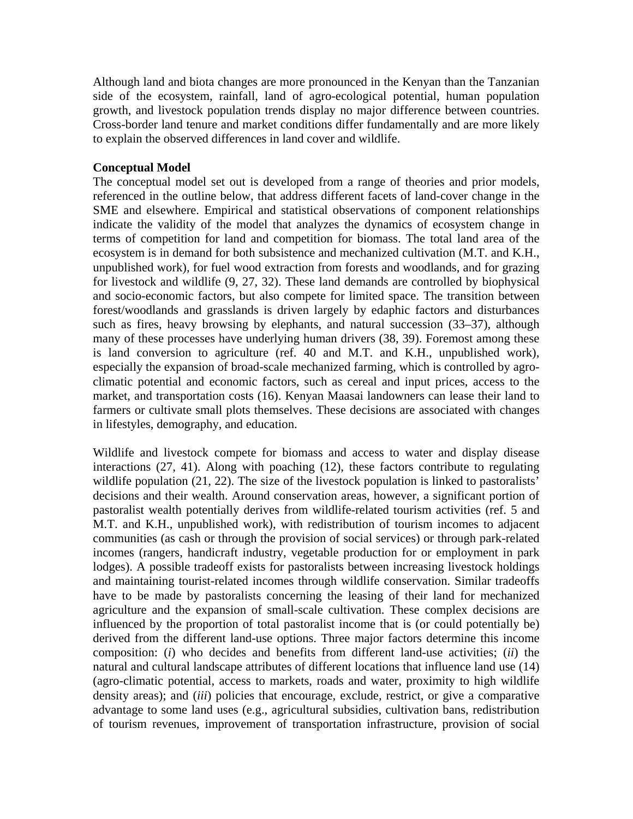Although land and biota changes are more pronounced in the Kenyan than the Tanzanian side of the ecosystem, rainfall, land of agro-ecological potential, human population growth, and livestock population trends display no major difference between countries. Cross-border land tenure and market conditions differ fundamentally and are more likely to explain the observed differences in land cover and wildlife.

### **Conceptual Model**

The conceptual model set out is developed from a range of theories and prior models, referenced in the outline below, that address different facets of land-cover change in the SME and elsewhere. Empirical and statistical observations of component relationships indicate the validity of the model that analyzes the dynamics of ecosystem change in terms of competition for land and competition for biomass. The total land area of the ecosystem is in demand for both subsistence and mechanized cultivation (M.T. and K.H., unpublished work), for fuel wood extraction from forests and woodlands, and for grazing for livestock and wildlife (9, 27, 32). These land demands are controlled by biophysical and socio-economic factors, but also compete for limited space. The transition between forest/woodlands and grasslands is driven largely by edaphic factors and disturbances such as fires, heavy browsing by elephants, and natural succession (33–37), although many of these processes have underlying human drivers (38, 39). Foremost among these is land conversion to agriculture (ref. 40 and M.T. and K.H., unpublished work), especially the expansion of broad-scale mechanized farming, which is controlled by agroclimatic potential and economic factors, such as cereal and input prices, access to the market, and transportation costs (16). Kenyan Maasai landowners can lease their land to farmers or cultivate small plots themselves. These decisions are associated with changes in lifestyles, demography, and education.

Wildlife and livestock compete for biomass and access to water and display disease interactions (27, 41). Along with poaching (12), these factors contribute to regulating wildlife population (21, 22). The size of the livestock population is linked to pastoralists' decisions and their wealth. Around conservation areas, however, a significant portion of pastoralist wealth potentially derives from wildlife-related tourism activities (ref. 5 and M.T. and K.H., unpublished work), with redistribution of tourism incomes to adjacent communities (as cash or through the provision of social services) or through park-related incomes (rangers, handicraft industry, vegetable production for or employment in park lodges). A possible tradeoff exists for pastoralists between increasing livestock holdings and maintaining tourist-related incomes through wildlife conservation. Similar tradeoffs have to be made by pastoralists concerning the leasing of their land for mechanized agriculture and the expansion of small-scale cultivation. These complex decisions are influenced by the proportion of total pastoralist income that is (or could potentially be) derived from the different land-use options. Three major factors determine this income composition: (*i*) who decides and benefits from different land-use activities; (*ii*) the natural and cultural landscape attributes of different locations that influence land use (14) (agro-climatic potential, access to markets, roads and water, proximity to high wildlife density areas); and (*iii*) policies that encourage, exclude, restrict, or give a comparative advantage to some land uses (e.g., agricultural subsidies, cultivation bans, redistribution of tourism revenues, improvement of transportation infrastructure, provision of social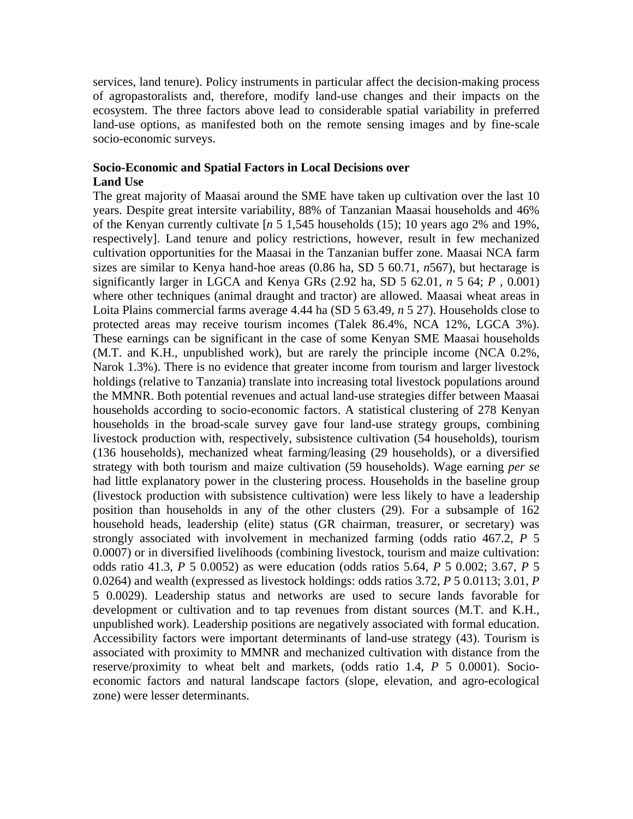services, land tenure). Policy instruments in particular affect the decision-making process of agropastoralists and, therefore, modify land-use changes and their impacts on the ecosystem. The three factors above lead to considerable spatial variability in preferred land-use options, as manifested both on the remote sensing images and by fine-scale socio-economic surveys.

#### **Socio-Economic and Spatial Factors in Local Decisions over Land Use**

The great majority of Maasai around the SME have taken up cultivation over the last 10 years. Despite great intersite variability, 88% of Tanzanian Maasai households and 46% of the Kenyan currently cultivate [*n* 5 1,545 households (15); 10 years ago 2% and 19%, respectively]. Land tenure and policy restrictions, however, result in few mechanized cultivation opportunities for the Maasai in the Tanzanian buffer zone. Maasai NCA farm sizes are similar to Kenya hand-hoe areas (0.86 ha, SD 5 60.71, *n*567), but hectarage is significantly larger in LGCA and Kenya GRs (2.92 ha, SD 5 62.01, *n* 5 64; *P* , 0.001) where other techniques (animal draught and tractor) are allowed. Maasai wheat areas in Loita Plains commercial farms average 4.44 ha (SD 5 63.49, *n* 5 27). Households close to protected areas may receive tourism incomes (Talek 86.4%, NCA 12%, LGCA 3%). These earnings can be significant in the case of some Kenyan SME Maasai households (M.T. and K.H., unpublished work), but are rarely the principle income (NCA 0.2%, Narok 1.3%). There is no evidence that greater income from tourism and larger livestock holdings (relative to Tanzania) translate into increasing total livestock populations around the MMNR. Both potential revenues and actual land-use strategies differ between Maasai households according to socio-economic factors. A statistical clustering of 278 Kenyan households in the broad-scale survey gave four land-use strategy groups, combining livestock production with, respectively, subsistence cultivation (54 households), tourism (136 households), mechanized wheat farming/leasing (29 households), or a diversified strategy with both tourism and maize cultivation (59 households). Wage earning *per se*  had little explanatory power in the clustering process. Households in the baseline group (livestock production with subsistence cultivation) were less likely to have a leadership position than households in any of the other clusters (29). For a subsample of 162 household heads, leadership (elite) status (GR chairman, treasurer, or secretary) was strongly associated with involvement in mechanized farming (odds ratio 467.2, *P* 5 0.0007) or in diversified livelihoods (combining livestock, tourism and maize cultivation: odds ratio 41.3, *P* 5 0.0052) as were education (odds ratios 5.64, *P* 5 0.002; 3.67, *P* 5 0.0264) and wealth (expressed as livestock holdings: odds ratios 3.72, *P* 5 0.0113; 3.01, *P*  5 0.0029). Leadership status and networks are used to secure lands favorable for development or cultivation and to tap revenues from distant sources (M.T. and K.H., unpublished work). Leadership positions are negatively associated with formal education. Accessibility factors were important determinants of land-use strategy (43). Tourism is associated with proximity to MMNR and mechanized cultivation with distance from the reserve/proximity to wheat belt and markets, (odds ratio 1.4, *P* 5 0.0001). Socioeconomic factors and natural landscape factors (slope, elevation, and agro-ecological zone) were lesser determinants.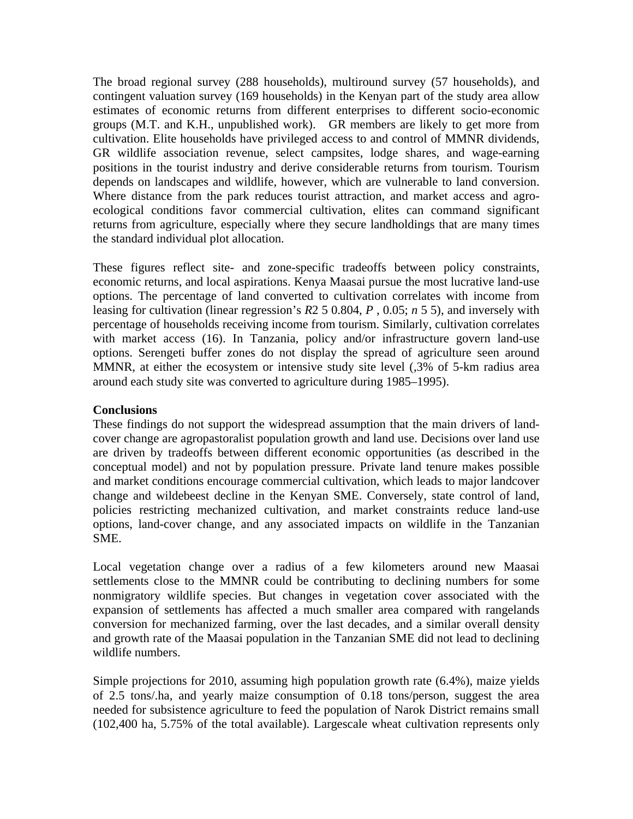The broad regional survey (288 households), multiround survey (57 households), and contingent valuation survey (169 households) in the Kenyan part of the study area allow estimates of economic returns from different enterprises to different socio-economic groups (M.T. and K.H., unpublished work). GR members are likely to get more from cultivation. Elite households have privileged access to and control of MMNR dividends, GR wildlife association revenue, select campsites, lodge shares, and wage-earning positions in the tourist industry and derive considerable returns from tourism. Tourism depends on landscapes and wildlife, however, which are vulnerable to land conversion. Where distance from the park reduces tourist attraction, and market access and agroecological conditions favor commercial cultivation, elites can command significant returns from agriculture, especially where they secure landholdings that are many times the standard individual plot allocation.

These figures reflect site- and zone-specific tradeoffs between policy constraints, economic returns, and local aspirations. Kenya Maasai pursue the most lucrative land-use options. The percentage of land converted to cultivation correlates with income from leasing for cultivation (linear regression's *R*2 5 0.804, *P* , 0.05; *n* 5 5), and inversely with percentage of households receiving income from tourism. Similarly, cultivation correlates with market access (16). In Tanzania, policy and/or infrastructure govern land-use options. Serengeti buffer zones do not display the spread of agriculture seen around MMNR, at either the ecosystem or intensive study site level (,3% of 5-km radius area around each study site was converted to agriculture during 1985–1995).

#### **Conclusions**

These findings do not support the widespread assumption that the main drivers of landcover change are agropastoralist population growth and land use. Decisions over land use are driven by tradeoffs between different economic opportunities (as described in the conceptual model) and not by population pressure. Private land tenure makes possible and market conditions encourage commercial cultivation, which leads to major landcover change and wildebeest decline in the Kenyan SME. Conversely, state control of land, policies restricting mechanized cultivation, and market constraints reduce land-use options, land-cover change, and any associated impacts on wildlife in the Tanzanian SME.

Local vegetation change over a radius of a few kilometers around new Maasai settlements close to the MMNR could be contributing to declining numbers for some nonmigratory wildlife species. But changes in vegetation cover associated with the expansion of settlements has affected a much smaller area compared with rangelands conversion for mechanized farming, over the last decades, and a similar overall density and growth rate of the Maasai population in the Tanzanian SME did not lead to declining wildlife numbers.

Simple projections for 2010, assuming high population growth rate (6.4%), maize yields of 2.5 tons/.ha, and yearly maize consumption of 0.18 tons/person, suggest the area needed for subsistence agriculture to feed the population of Narok District remains small (102,400 ha, 5.75% of the total available). Largescale wheat cultivation represents only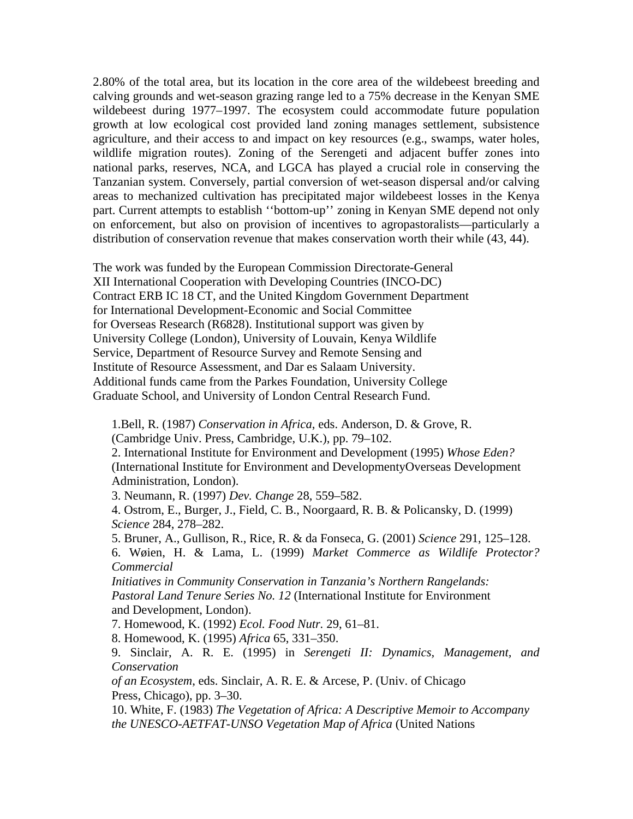2.80% of the total area, but its location in the core area of the wildebeest breeding and calving grounds and wet-season grazing range led to a 75% decrease in the Kenyan SME wildebeest during 1977–1997. The ecosystem could accommodate future population growth at low ecological cost provided land zoning manages settlement, subsistence agriculture, and their access to and impact on key resources (e.g., swamps, water holes, wildlife migration routes). Zoning of the Serengeti and adjacent buffer zones into national parks, reserves, NCA, and LGCA has played a crucial role in conserving the Tanzanian system. Conversely, partial conversion of wet-season dispersal and/or calving areas to mechanized cultivation has precipitated major wildebeest losses in the Kenya part. Current attempts to establish ''bottom-up'' zoning in Kenyan SME depend not only on enforcement, but also on provision of incentives to agropastoralists—particularly a distribution of conservation revenue that makes conservation worth their while (43, 44).

The work was funded by the European Commission Directorate-General XII International Cooperation with Developing Countries (INCO-DC) Contract ERB IC 18 CT, and the United Kingdom Government Department for International Development-Economic and Social Committee for Overseas Research (R6828). Institutional support was given by University College (London), University of Louvain, Kenya Wildlife Service, Department of Resource Survey and Remote Sensing and Institute of Resource Assessment, and Dar es Salaam University. Additional funds came from the Parkes Foundation, University College Graduate School, and University of London Central Research Fund.

1.Bell, R. (1987) *Conservation in Africa*, eds. Anderson, D. & Grove, R. (Cambridge Univ. Press, Cambridge, U.K.), pp. 79–102.

2. International Institute for Environment and Development (1995) *Whose Eden?*  (International Institute for Environment and DevelopmentyOverseas Development Administration, London).

3. Neumann, R. (1997) *Dev. Change* 28, 559–582.

4. Ostrom, E., Burger, J., Field, C. B., Noorgaard, R. B. & Policansky, D. (1999) *Science* 284, 278–282.

5. Bruner, A., Gullison, R., Rice, R. & da Fonseca, G. (2001) *Science* 291, 125–128. 6. Wøien, H. & Lama, L. (1999) *Market Commerce as Wildlife Protector? Commercial* 

*Initiatives in Community Conservation in Tanzania's Northern Rangelands: Pastoral Land Tenure Series No. 12* (International Institute for Environment and Development, London).

7. Homewood, K. (1992) *Ecol. Food Nutr.* 29, 61–81.

8. Homewood, K. (1995) *Africa* 65, 331–350.

9. Sinclair, A. R. E. (1995) in *Serengeti II: Dynamics, Management, and Conservation* 

*of an Ecosystem*, eds. Sinclair, A. R. E. & Arcese, P. (Univ. of Chicago Press, Chicago), pp. 3–30.

10. White, F. (1983) *The Vegetation of Africa: A Descriptive Memoir to Accompany the UNESCO-AETFAT-UNSO Vegetation Map of Africa* (United Nations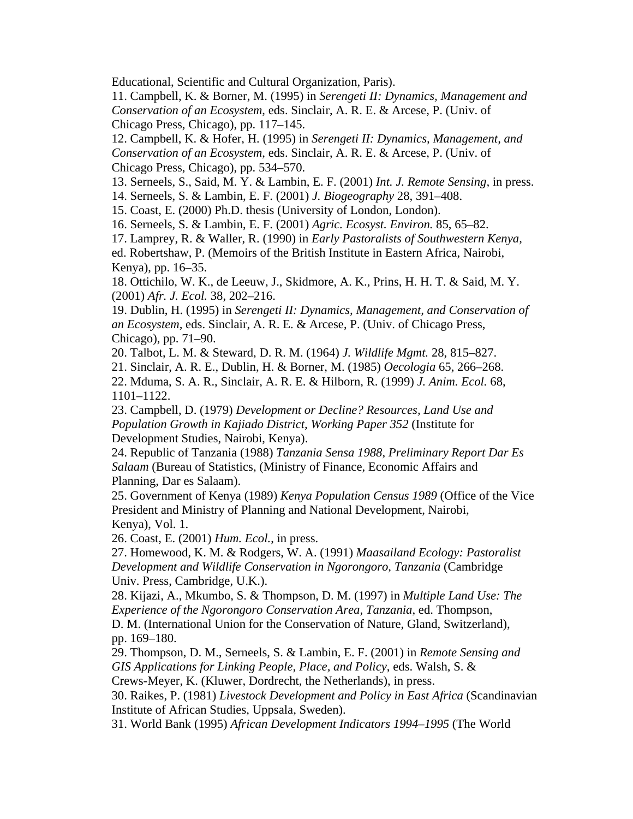Educational, Scientific and Cultural Organization, Paris).

11. Campbell, K. & Borner, M. (1995) in *Serengeti II: Dynamics, Management and Conservation of an Ecosystem*, eds. Sinclair, A. R. E. & Arcese, P. (Univ. of Chicago Press, Chicago), pp. 117–145.

12. Campbell, K. & Hofer, H. (1995) in *Serengeti II: Dynamics, Management, and Conservation of an Ecosystem*, eds. Sinclair, A. R. E. & Arcese, P. (Univ. of Chicago Press, Chicago), pp. 534–570.

13. Serneels, S., Said, M. Y. & Lambin, E. F. (2001) *Int. J. Remote Sensing,* in press.

14. Serneels, S. & Lambin, E. F. (2001) *J. Biogeography* 28, 391–408.

15. Coast, E. (2000) Ph.D. thesis (University of London, London).

16. Serneels, S. & Lambin, E. F. (2001) *Agric. Ecosyst. Environ.* 85, 65–82.

17. Lamprey, R. & Waller, R. (1990) in *Early Pastoralists of Southwestern Kenya,* 

ed. Robertshaw, P. (Memoirs of the British Institute in Eastern Africa, Nairobi, Kenya), pp. 16–35.

18. Ottichilo, W. K., de Leeuw, J., Skidmore, A. K., Prins, H. H. T. & Said, M. Y. (2001) *Afr. J. Ecol.* 38, 202–216.

19. Dublin, H. (1995) in *Serengeti II: Dynamics, Management, and Conservation of an Ecosystem,* eds. Sinclair, A. R. E. & Arcese, P. (Univ. of Chicago Press, Chicago), pp. 71–90.

20. Talbot, L. M. & Steward, D. R. M. (1964) *J. Wildlife Mgmt.* 28, 815–827. 21. Sinclair, A. R. E., Dublin, H. & Borner, M. (1985) *Oecologia* 65, 266–268.

22. Mduma, S. A. R., Sinclair, A. R. E. & Hilborn, R. (1999) *J. Anim. Ecol.* 68, 1101–1122.

23. Campbell, D. (1979) *Development or Decline? Resources, Land Use and Population Growth in Kajiado District, Working Paper 352* (Institute for Development Studies, Nairobi, Kenya).

24. Republic of Tanzania (1988) *Tanzania Sensa 1988*, *Preliminary Report Dar Es Salaam* (Bureau of Statistics, (Ministry of Finance, Economic Affairs and Planning, Dar es Salaam).

25. Government of Kenya (1989) *Kenya Population Census 1989* (Office of the Vice President and Ministry of Planning and National Development, Nairobi, Kenya), Vol. 1.

26. Coast, E. (2001) *Hum. Ecol.*, in press.

27. Homewood, K. M. & Rodgers, W. A. (1991) *Maasailand Ecology: Pastoralist Development and Wildlife Conservation in Ngorongoro, Tanzania* (Cambridge Univ. Press, Cambridge, U.K.).

28. Kijazi, A., Mkumbo, S. & Thompson, D. M. (1997) in *Multiple Land Use: The Experience of the Ngorongoro Conservation Area, Tanzania*, ed. Thompson, D. M. (International Union for the Conservation of Nature, Gland, Switzerland), pp. 169–180.

29. Thompson, D. M., Serneels, S. & Lambin, E. F. (2001) in *Remote Sensing and GIS Applications for Linking People, Place, and Policy*, eds. Walsh, S. &

Crews-Meyer, K. (Kluwer, Dordrecht, the Netherlands), in press.

30. Raikes, P. (1981) *Livestock Development and Policy in East Africa* (Scandinavian Institute of African Studies, Uppsala, Sweden).

31. World Bank (1995) *African Development Indicators 1994–1995* (The World